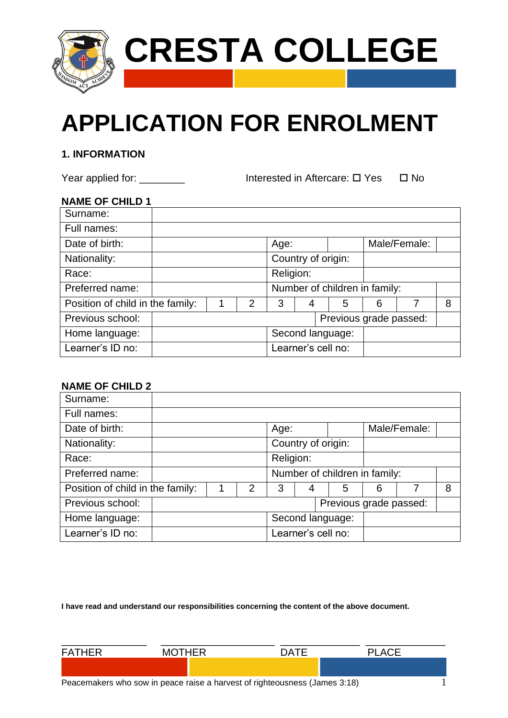

# **APPLICATION FOR ENROLMENT**

# **1. INFORMATION**

Year applied for: \_\_\_\_\_\_\_\_\_\_\_\_ Interested in Aftercare:  $\Box$  Yes  $\Box$  No

# **NAME OF CHILD 1**

| Surname:                         |  |   |                    |   |                               |   |              |   |
|----------------------------------|--|---|--------------------|---|-------------------------------|---|--------------|---|
| Full names:                      |  |   |                    |   |                               |   |              |   |
| Date of birth:                   |  |   | Age:               |   |                               |   | Male/Female: |   |
| Nationality:                     |  |   | Country of origin: |   |                               |   |              |   |
| Race:                            |  |   | Religion:          |   |                               |   |              |   |
| Preferred name:                  |  |   |                    |   | Number of children in family: |   |              |   |
| Position of child in the family: |  | 2 | 3                  | 4 | 5                             | 6 |              | 8 |
| Previous school:                 |  |   |                    |   | Previous grade passed:        |   |              |   |
| Home language:                   |  |   |                    |   | Second language:              |   |              |   |
| Learner's ID no:                 |  |   | Learner's cell no: |   |                               |   |              |   |

# **NAME OF CHILD 2**

| Surname:                         |  |   |                               |           |  |                        |   |              |   |
|----------------------------------|--|---|-------------------------------|-----------|--|------------------------|---|--------------|---|
|                                  |  |   |                               |           |  |                        |   |              |   |
| Full names:                      |  |   |                               |           |  |                        |   |              |   |
| Date of birth:                   |  |   | Age:                          |           |  |                        |   | Male/Female: |   |
| Nationality:                     |  |   | Country of origin:            |           |  |                        |   |              |   |
| Race:                            |  |   |                               | Religion: |  |                        |   |              |   |
| Preferred name:                  |  |   | Number of children in family: |           |  |                        |   |              |   |
| Position of child in the family: |  | 2 | 3                             |           |  | 5                      | 6 |              | 8 |
| Previous school:                 |  |   |                               |           |  | Previous grade passed: |   |              |   |
| Home language:                   |  |   |                               |           |  | Second language:       |   |              |   |
| Learner's ID no:                 |  |   | Learner's cell no:            |           |  |                        |   |              |   |

**I have read and understand our responsibilities concerning the content of the above document.**

| <b>FATHER</b> | <b>MOTHER</b> | <b>DATE</b>                                                                | <b>PLACE</b> |  |
|---------------|---------------|----------------------------------------------------------------------------|--------------|--|
|               |               |                                                                            |              |  |
|               |               | Peacemakers who sow in peace raise a harvest of righteousness (James 3:18) |              |  |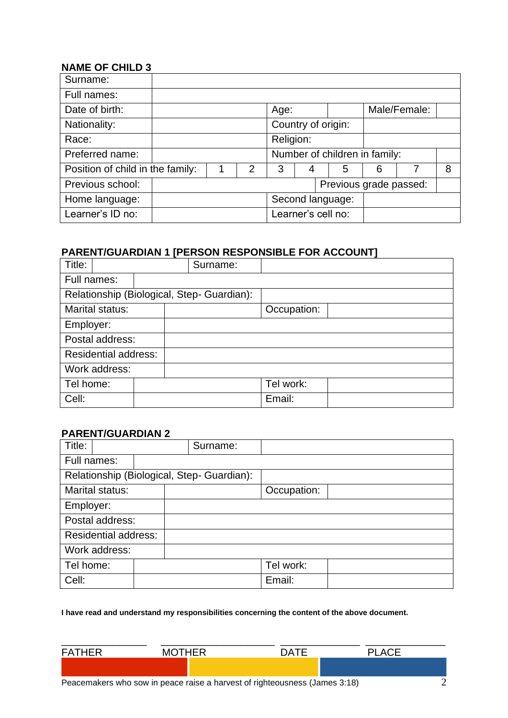# **NAME OF CHILD 3**

| $11$ $\sim$ $111$ $\sim$ $111$ $\sim$ $11$ |   |               |                    |   |                               |   |              |   |
|--------------------------------------------|---|---------------|--------------------|---|-------------------------------|---|--------------|---|
| Surname:                                   |   |               |                    |   |                               |   |              |   |
| Full names:                                |   |               |                    |   |                               |   |              |   |
| Date of birth:                             |   |               | Age:               |   |                               |   | Male/Female: |   |
| Nationality:                               |   |               | Country of origin: |   |                               |   |              |   |
| Race:                                      |   |               | Religion:          |   |                               |   |              |   |
| Preferred name:                            |   |               |                    |   | Number of children in family: |   |              |   |
| Position of child in the family:           | 1 | $\mathcal{P}$ | 3                  | 4 | 5                             | 6 |              | 8 |
| Previous school:                           |   |               |                    |   | Previous grade passed:        |   |              |   |
| Home language:                             |   |               |                    |   | Second language:              |   |              |   |
| Learner's ID no:                           |   |               | Learner's cell no: |   |                               |   |              |   |

# **PARENT/GUARDIAN 1 [PERSON RESPONSIBLE FOR ACCOUNT]**

| Title:      |                             |  | Surname:                                   |             |  |
|-------------|-----------------------------|--|--------------------------------------------|-------------|--|
| Full names: |                             |  |                                            |             |  |
|             |                             |  | Relationship (Biological, Step- Guardian): |             |  |
|             | Marital status:             |  |                                            | Occupation: |  |
| Employer:   |                             |  |                                            |             |  |
|             | Postal address:             |  |                                            |             |  |
|             | <b>Residential address:</b> |  |                                            |             |  |
|             | Work address:               |  |                                            |             |  |
| Tel home:   |                             |  |                                            | Tel work:   |  |
| Cell:       |                             |  |                                            | Email:      |  |

#### **PARENT/GUARDIAN 2**

| Title:                      |  | Surname:                                   |             |  |
|-----------------------------|--|--------------------------------------------|-------------|--|
| Full names:                 |  |                                            |             |  |
|                             |  | Relationship (Biological, Step- Guardian): |             |  |
| Marital status:             |  |                                            | Occupation: |  |
| Employer:                   |  |                                            |             |  |
| Postal address:             |  |                                            |             |  |
| <b>Residential address:</b> |  |                                            |             |  |
| Work address:               |  |                                            |             |  |
| Tel home:                   |  |                                            | Tel work:   |  |
| Cell:                       |  |                                            | Email:      |  |

#### **I have read and understand my responsibilities concerning the content of the above document.**

| <b>FATHER</b> | <b>MOTHER</b>                                                              | <b>DATE</b> | PI ACF |  |
|---------------|----------------------------------------------------------------------------|-------------|--------|--|
|               |                                                                            |             |        |  |
|               | Peacemakers who sow in peace raise a harvest of righteousness (James 3:18) |             |        |  |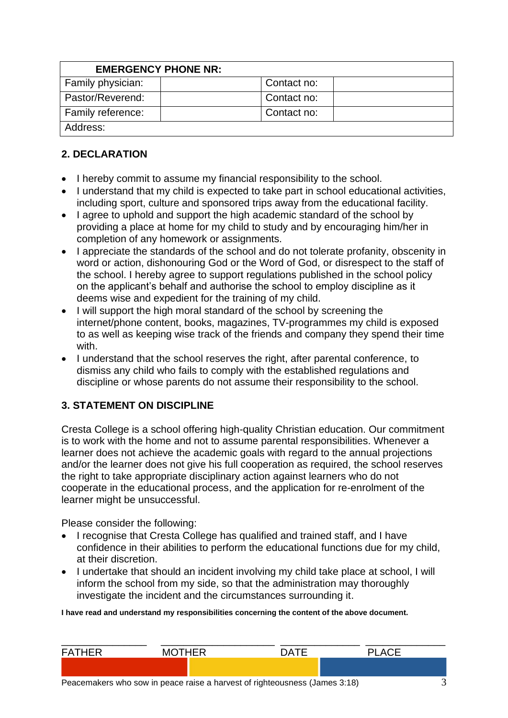| <b>EMERGENCY PHONE NR:</b> |             |  |
|----------------------------|-------------|--|
| Family physician:          | Contact no: |  |
| Pastor/Reverend:           | Contact no: |  |
| Family reference:          | Contact no: |  |
| Address:                   |             |  |

# **2. DECLARATION**

- I hereby commit to assume my financial responsibility to the school.
- I understand that my child is expected to take part in school educational activities, including sport, culture and sponsored trips away from the educational facility.
- I agree to uphold and support the high academic standard of the school by providing a place at home for my child to study and by encouraging him/her in completion of any homework or assignments.
- I appreciate the standards of the school and do not tolerate profanity, obscenity in word or action, dishonouring God or the Word of God, or disrespect to the staff of the school. I hereby agree to support regulations published in the school policy on the applicant's behalf and authorise the school to employ discipline as it deems wise and expedient for the training of my child.
- I will support the high moral standard of the school by screening the internet/phone content, books, magazines, TV-programmes my child is exposed to as well as keeping wise track of the friends and company they spend their time with.
- I understand that the school reserves the right, after parental conference, to dismiss any child who fails to comply with the established regulations and discipline or whose parents do not assume their responsibility to the school.

# **3. STATEMENT ON DISCIPLINE**

Cresta College is a school offering high-quality Christian education. Our commitment is to work with the home and not to assume parental responsibilities. Whenever a learner does not achieve the academic goals with regard to the annual projections and/or the learner does not give his full cooperation as required, the school reserves the right to take appropriate disciplinary action against learners who do not cooperate in the educational process, and the application for re-enrolment of the learner might be unsuccessful.

Please consider the following:

- I recognise that Cresta College has qualified and trained staff, and I have confidence in their abilities to perform the educational functions due for my child, at their discretion.
- I undertake that should an incident involving my child take place at school, I will inform the school from my side, so that the administration may thoroughly investigate the incident and the circumstances surrounding it.

**I have read and understand my responsibilities concerning the content of the above document.**

| <b>FATHER</b> | <b>MOTHER</b>                  | <b>DATE</b> | <b>PLACE</b> |  |
|---------------|--------------------------------|-------------|--------------|--|
|               |                                |             |              |  |
|               | — III III III III III III AIAN |             |              |  |